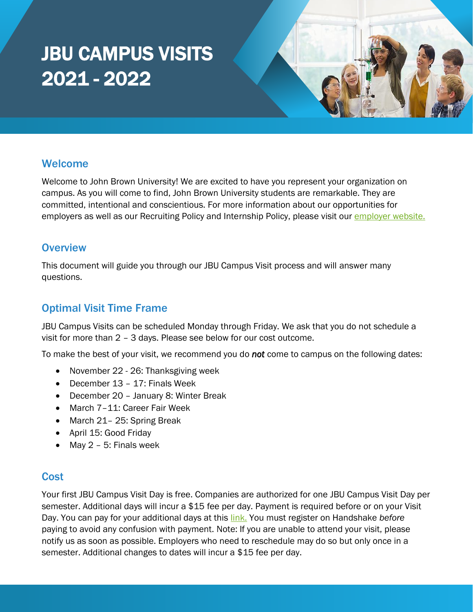# JBU CAMPUS VISITS 2021 - 2022



## Welcome

Welcome to John Brown University! We are excited to have you represent your organization on campus. As you will come to find, John Brown University students are remarkable. They are committed, intentional and conscientious. For more information about our opportunities for employers as well as our Recruiting Policy and Internship Policy, please visit our [employer website.](https://www.jbu.edu/career-development/employers/)

## **Overview**

This document will guide you through our JBU Campus Visit process and will answer many questions.

## Optimal Visit Time Frame

JBU Campus Visits can be scheduled Monday through Friday. We ask that you do not schedule a visit for more than 2 – 3 days. Please see below for our cost outcome.

To make the best of your visit, we recommend you do *not* come to campus on the following dates:

- November 22 26: Thanksgiving week
- December 13 17: Finals Week
- December 20 January 8: Winter Break
- March 7-11: Career Fair Week
- March 21-25: Spring Break
- April 15: Good Friday
- May 2 5: Finals week

#### **Cost**

Your first JBU Campus Visit Day is free. Companies are authorized for one JBU Campus Visit Day per semester. Additional days will incur a \$15 fee per day. Payment is required before or on your Visit Day. You can pay for your additional days at this [link.](https://secure.touchnet.net/C22773_ustores/web/product_detail.jsp?PRODUCTID=938&FROMQRCODE=true) You must register on Handshake *before*  paying to avoid any confusion with payment. Note: If you are unable to attend your visit, please notify us as soon as possible. Employers who need to reschedule may do so but only once in a semester. Additional changes to dates will incur a \$15 fee per day.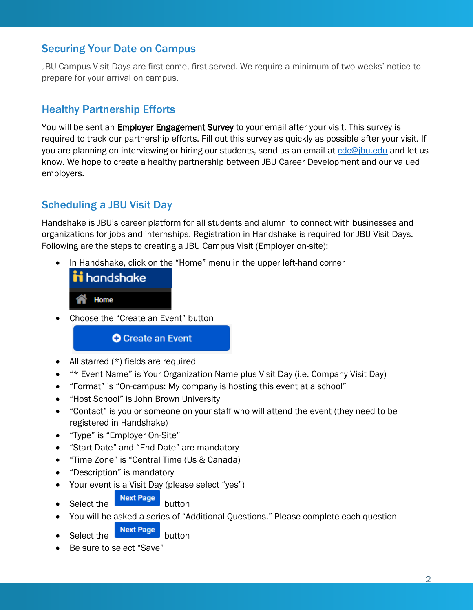## Securing Your Date on Campus

JBU Campus Visit Days are first-come, first-served. We require a minimum of two weeks' notice to prepare for your arrival on campus.

## Healthy Partnership Efforts

You will be sent an Employer Engagement Survey to your email after your visit. This survey is required to track our partnership efforts. Fill out this survey as quickly as possible after your visit. If you are planning on interviewing or hiring our students, send us an email at [cdc@jbu.edu](mailto:cdc@jbu.edu) and let us know. We hope to create a healthy partnership between JBU Career Development and our valued employers.

## Scheduling a JBU Visit Day

Handshake is JBU's career platform for all students and alumni to connect with businesses and organizations for jobs and internships. Registration in Handshake is required for JBU Visit Days. Following are the steps to creating a JBU Campus Visit (Employer on-site):

• In Handshake, click on the "Home" menu in the upper left-hand corner



• Choose the "Create an Event" button

**O** Create an Event

- All starred  $(*)$  fields are required
- *"\** Event Name" is Your Organization Name plus Visit Day (i.e. Company Visit Day)
- "Format" is "On-campus: My company is hosting this event at a school"
- "Host School" is John Brown University
- "Contact" is you or someone on your staff who will attend the event (they need to be registered in Handshake)
- "Type" is "Employer On-Site"
- "Start Date" and "End Date" are mandatory
- "Time Zone" is "Central Time (Us & Canada)
- "Description" is mandatory
- Your event is a Visit Day (please select "yes")
- Select the  $\begin{array}{|c|c|c|c|c|}\n\hline\n\text{Next Page} & \text{button}\n\end{array}$
- You will be asked a series of "Additional Questions." Please complete each question
	- Select the **Next Page** button
- Be sure to select "Save"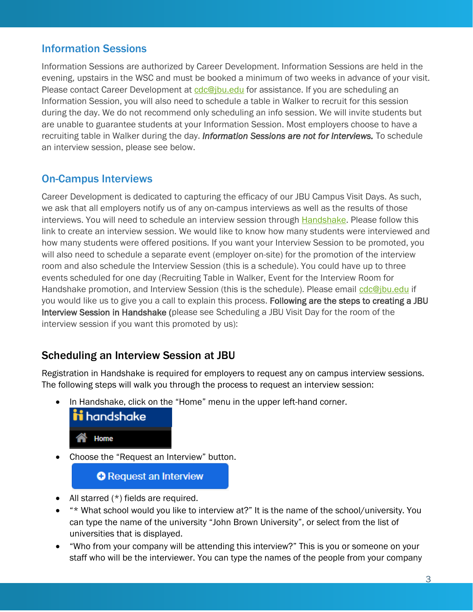## Information Sessions

Information Sessions are authorized by Career Development. Information Sessions are held in the evening, upstairs in the WSC and must be booked a minimum of two weeks in advance of your visit. Please contact Career Development at [cdc@jbu.edu](mailto:cdc@jbu.edu?subject=Campus%20Visit) for assistance. If you are scheduling an Information Session, you will also need to schedule a table in Walker to recruit for this session during the day. We do not recommend only scheduling an info session. We will invite students but are unable to guarantee students at your Information Session. Most employers choose to have a recruiting table in Walker during the day. *Information Sessions are not for Interviews.* To schedule an interview session, please see below.

## On-Campus Interviews

Career Development is dedicated to capturing the efficacy of our JBU Campus Visit Days. As such, we ask that all employers notify us of any on-campus interviews as well as the results of those interviews. You will need to schedule an interview session through [Handshake.](https://app.joinhandshake.com/interview_schedules) Please follow this link to create an interview session. We would like to know how many students were interviewed and how many students were offered positions. If you want your Interview Session to be promoted, you will also need to schedule a separate event (employer on-site) for the promotion of the interview room and also schedule the Interview Session (this is a schedule). You could have up to three events scheduled for one day (Recruiting Table in Walker, Event for the Interview Room for Handshake promotion, and Interview Session (this is the schedule). Please email [cdc@jbu.edu](mailto:cdc@jbu.edu) if you would like us to give you a call to explain this process. Following are the steps to creating a JBU Interview Session in Handshake (please see Scheduling a JBU Visit Day for the room of the interview session if you want this promoted by us):

## Scheduling an Interview Session at JBU

Registration in Handshake is required for employers to request any on campus interview sessions. The following steps will walk you through the process to request an interview session:

• In Handshake, click on the "Home" menu in the upper left-hand corner.



• Choose the "Request an Interview" button.

#### **O** Request an Interview

- All starred  $(*)$  fields are required.
- "\* What school would you like to interview at?" It is the name of the school/university. You can type the name of the university "John Brown University", or select from the list of universities that is displayed.
- "Who from your company will be attending this interview?" This is you or someone on your staff who will be the interviewer. You can type the names of the people from your company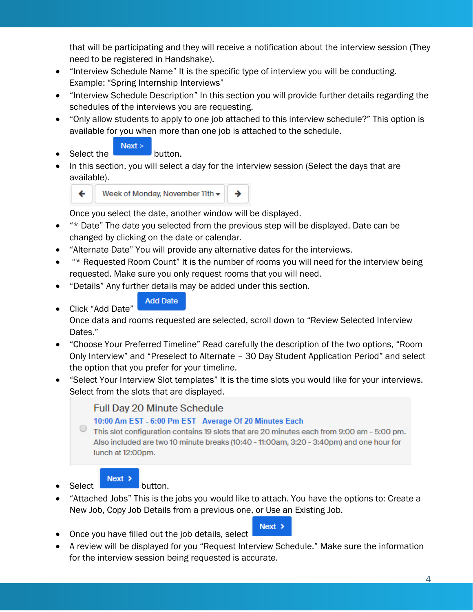that will be participating and they will receive a notification about the interview session (They need to be registered in Handshake).

- "Interview Schedule Name" It is the specific type of interview you will be conducting. Example: "Spring Internship Interviews"
- "Interview Schedule Description" In this section you will provide further details regarding the schedules of the interviews you are requesting.
- "Only allow students to apply to one job attached to this interview schedule?" This option is available for you when more than one job is attached to the schedule.
	- $Next$
- **Select the button.**
- In this section, you will select a day for the interview session (Select the days that are available).



Once you select the date, another window will be displayed.

- "\* Date" The date you selected from the previous step will be displayed. Date can be changed by clicking on the date or calendar.
- "Alternate Date" You will provide any alternative dates for the interviews.
- "\* Requested Room Count" It is the number of rooms you will need for the interview being requested. Make sure you only request rooms that you will need.
- "Details" Any further details may be added under this section.
	- **Add Date**
- Click "Add Date"

Once data and rooms requested are selected, scroll down to "Review Selected Interview Dates."

- "Choose Your Preferred Timeline" Read carefully the description of the two options, "Room Only Interview" and "Preselect to Alternate – 30 Day Student Application Period" and select the option that you prefer for your timeline.
- "Select Your Interview Slot templates" It is the time slots you would like for your interviews. Select from the slots that are displayed.

**Full Day 20 Minute Schedule** 

#### 10:00 Am EST - 6:00 Pm EST Average Of 20 Minutes Each

This slot configuration contains 19 slots that are 20 minutes each from 9:00 am - 5:00 pm. Also included are two 10 minute breaks (10:40 - 11:00am, 3:20 - 3:40pm) and one hour for lunch at 12:00pm.

- $\begin{array}{|c|c|c|}\n\hline\n\end{array}$  **Next >** button.
- "Attached Jobs" This is the jobs you would like to attach. You have the options to: Create a New Job, Copy Job Details from a previous one, or Use an Existing Job.
- Once you have filled out the job details, select
- A review will be displayed for you "Request Interview Schedule." Make sure the information for the interview session being requested is accurate.

 $Next >$